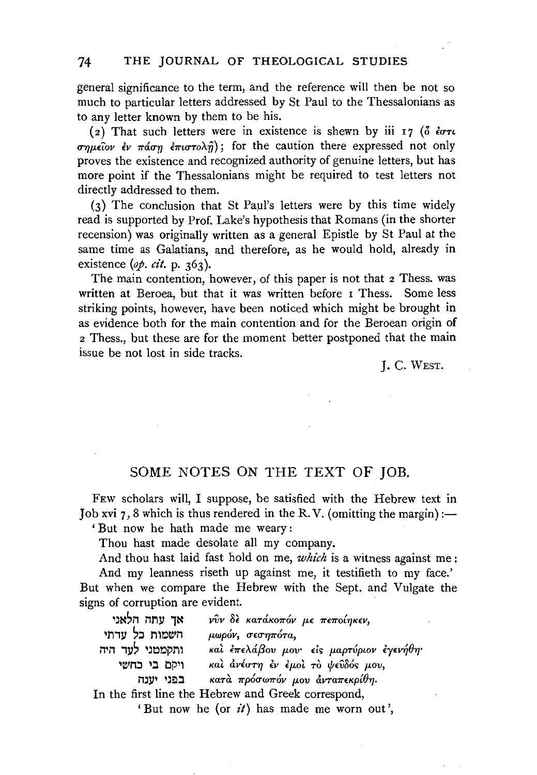general significance to the term, and the reference will then be not so much to particular letters addressed by St Paul to the Thessalonians as to any letter known by them to be his.

(2) That such letters were in existence is shewn by iii 17  $(0 \text{ for } u$  $\sigma\eta\mu\epsilon\hat{i}ov$   $\epsilon v$   $\pi\omega\sigma\eta$   $\epsilon\pi\omega\tau\partial\chi\hat{\eta}$ ; for the caution there expressed not only proves the existence and recognized authority of genuine letters, but has more point if the Thessalonians might be required to test letters not directly addressed to them.

 $(3)$  The conclusion that St Paul's letters were by this time widely read is supported by Prof. Lake's hypothesis that Romans (in the shorter recension) was originally written as a general Epistle by St Paul at the same time as Galatians, and therefore, as he would hold, already in existence (*op. cit.* p. 363).

The main contention, however, of this paper is not that 2 Thess. was written at Beroea, but that it was written before I Thess. Some less striking points, however, have been noticed which might be brought in as evidence both for the main contention and for the Beroean origin of 2 Thess., but these are for the moment better postponed that the main issue be not lost in side tracks.

J. C. WEST.

## SOME NOTES ON THE TEXT OF JOB.

FEw scholars will, I suppose, be satisfied with the Hebrew text in Job xvi  $7, 8$  which is thus rendered in the R.V. (omitting the margin) :-

'But now he bath made me weary :

Thou hast made desolate all my company.

And thou hast laid fast hold on me, *which* is a witness against me :

And my leanness riseth up against me, it testifieth to my face.' But when we compare the Hebrew with the Sept. and Vulgate the signs of corruption are evident.

| אך עתה הלאני                                       | νῦν δε κατάκοπόν με πεποίηκεν,           |
|----------------------------------------------------|------------------------------------------|
| השמות כל עדתי                                      | μωρόν, σεσηπότα,                         |
| ותקמטני לעד היה                                    | καὶ ἐπελάβου μου· εἰς μαρτύριον ἐγενήθη· |
| ויקם בי כחשי                                       | και ανέστη εν εμοι το ψεύδός μου,        |
| בפני יטנה                                          | κατά πρόσωπόν μου άνταπεκρίθη.           |
| In the first line the Hebrew and Greek correspond, |                                          |

'But now he (or *it)* has made me worn out',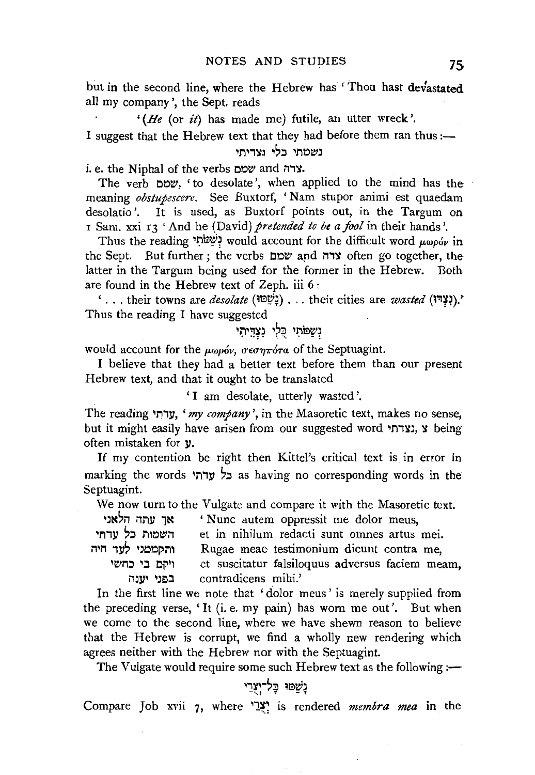but in the second line, where the Hebrew has ' Thou hast devastated all my company', the Sept. reads

*'(He* (or *it)* has made me) futile, an utter wreck'. I suggest that the Hebrew text that they had before them ran thus :-

## נשמתי בלי נצדיתי

i. e. the Niphal of the verbs were wond x.

The verb l:l~~. 'to desolate', when applied to the mind has the meaning *obstupescere.* See Buxtorf, 'Nam stupor animi est quaedam desolatio'. It is used, as Buxtorf points out, in the Targum on I Sam. xxi 13 'And he *(David)* pretended to be a fool in their hands'.

Thus the reading 'שֲמֹתִי would account for the difficult word  $\mu\omega\rho\acute{o}\nu$  in the Sept. But further; the verbs שמם שמם and item go together, the latter in the Targum being used for the former in the Hebrew. Both are found in the Hebrew text of Zeph. iii 6 :

'... their towns are *desolate* (إنبي البناية)... their cities are *wasted* (יָאָד<sup>ָ</sup>ז). Thus the reading I have suggested

# נִשֲמֹתֵי כִּלֵי נִצְדֵּיתִי

would account for the μωρόν, σεσηπότα of the Septuagint.

I believe that they had a better text before them than our present Hebrew text, and that it ought to be translated

' I am desolate, utterly wasted '.

The reading 'M,ll, *'my company',* in the Masoretic text, makes no sense, but it might easily have arisen from our suggested word 'גצרתי, א often mistaken for  $y$ .

If my contention be right then Kittel's critical text is in error in marking the words 'תרא as having no corresponding words in the Septuagint.

We now turn to the Vulgate and compare it with the Masoretic text.

| אך עתה הלאני    | 'Nunc autem oppressit me dolor meus,            |
|-----------------|-------------------------------------------------|
| השמות כל עדתי   | et in nihilum redacti sunt omnes artus mei.     |
| ותקמטני לעד היה | Rugae meae testimonium dicunt contra me,        |
| ויקם בי כחשי    | et suscitatur falsiloquus adversus faciem meam, |
| בפני יענה       | contradicens mihi.'                             |

In the first line we note that 'dolor meus' is merely supplied from the preceding verse, 'It (i.e. my pain) has worn me out'. But when we come to the second line, where we have shewn reason to believe that the Hebrew is corrupt, we find a wholly new rendering which agrees neither with the Hebrew nor with the Septuagint.

The Vulgate would require some such Hebrew text as the following:—

## 'ְשֵׁמוּ כָּל-יִצְרַי,

Compare Job xvii 7, where '1~; is rendered *membra mea* in the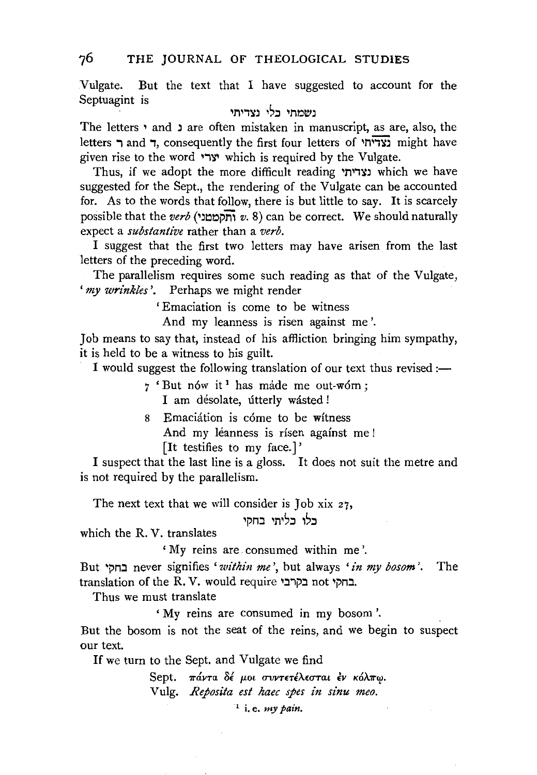Vulgate. But the text that I have suggested to account for the Septuagint is

נשמתי כלי נצדיתי

The letters ' and ' are often mistaken in manuscript, as are, also, the letters מדיתי and , consequently the first four letters of  $\overline{y}$  might have given rise to the word 'ארי which is required by the Vulgate.

Thus, if we adopt the more difficult reading נצדיתי which we have suggested for the Sept., the rendering of the Vulgate can be accounted for. As to the words that follow, there is but little to say. It is scarcely possible that the *verb* ('J~oprn *v.* 8) can be correct. We should naturally expect a *substantive* rather than a *verb.* 

I suggest that the first two letters may have arisen from the last letters of the preceding word.

The parallelism requires some such reading as that of the Vulgate, *'my wrinkles'.* Perhaps we might render

' Emaciation is come to be witness

And my leanness is risen against me'.

Job means to say that, instead of his affliction bringing him sympathy, it is held to be a witness to his guilt.

I would suggest the following translation of our text thus revised :-

- 7 'But nów it<sup>1</sup> has máde me out-wórn; I am désolate, útterly wásted !
- s Emaciation is come to be witness And my léanness is rísen against me ! [It testifies to my face.]'

I suspect that the last line is a gloss. It does not suit the metre and is not required by the parallelism.

The next text that we will consider is Job xix 27,

בלו בליתי בחקי

which the R. V. translates

'My reins are consumed within me'.

But •pn.:l never signifies *'within me',* but always *'in my bosom'.* The translation of the R. V. would require 'בחקי

Thus we must translate

'My reins are consumed in my bosom'.

But the bosom is not the seat of the reins, and we begin to suspect our text.

If we turn to the Sept. and Vulgate we find

Sept. *πάντα δέ μοι συντετέλεσται έν κόλπω*. Vulg. *Reposita est haec spes in sinu meo.* 

1 i. e. *my pain.*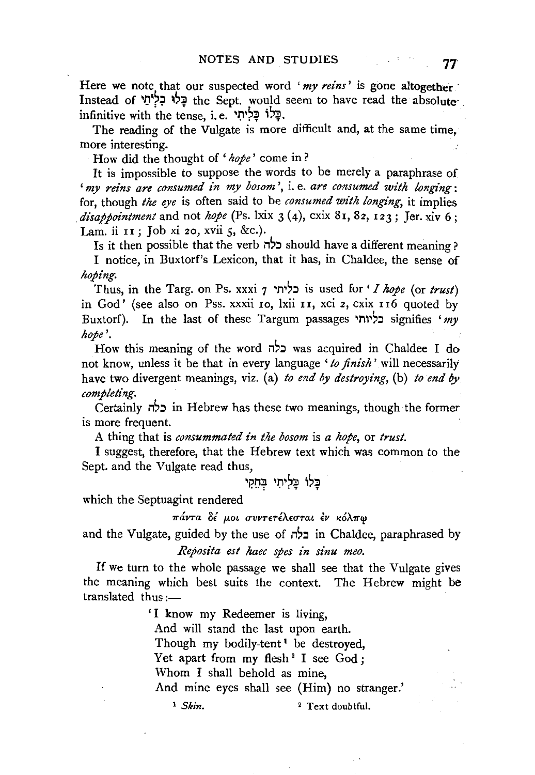Here we note that our suspected word '*my reins'* is gone altogether Instead of 1 1J1 ?:;! ~'f the Sept. would seem to have read the absolute·  $\delta$ : בַּלוֹ בַּלִיתִי, infinitive with the tense, i. e.

The reading of the Vulgate is more difficult and, at the same time, more interesting.

How did the thought of *'hope'* come in?

It is impossible to suppose the words to be merely a paraphrase of *'my reins are consumed in my bosom',* i. e. *are consumed with longing:*  for, though *the eye* is often said to be *consumed with longing,* it implies  $disabointment$  and not *hope* (Ps. lxix  $3(4)$ , cxix  $81$ ,  $82$ ,  $123$ ; Jer. xiv 6; Lam. ii 11; Job xi 20, xvii 5, &c.).

Is it then possible that the verb כלה should have a different meaning?

I notice, in Buxtorf's Lexicon, that it has, in Chaldee, the sense of *hoping.* 

Thus, in the Targ. on Ps. xxxi 7 1111,:1 is used for ' I *hope* (or *trust)*  in God' (see also on Pss. xxxii 10, lxii I 1, xci 2, cxix I I6 quoted by Buxtorf). In the last of these Targum passages '11''':1 signifies *'my hope'.* 

How this meaning of the word כלה was acquired in Chaldee I do not know, unless it be that in every language *'to finish'* will necessarily have two divergent meanings, viz. (a) *to end by destroying*, (b) *to end by completing.* 

Certainly כלה in Hebrew has these two meanings, though the former is more frequent.

A thing that is *consummated in the bosom* is *a hope,* or *trust.* 

I suggest, therefore, that the Hebrew text which was common to the Sept. and the Vulgate read thus,

בּלוֹ בֵּליתֵי בְּחֵקֵי

which the Septuagint rendered

πάντα δέ μοι συντετέλεσται έν κόλπω

and the Vulgate, guided by the use of  $\pi$ :  $\epsilon$ לה in Chaldee, paraphrased by *Reposita est haec spes in sinu meo.* 

If we turn to the whole passage we shall see that the Vulgate gives the meaning which best suits the context. The Hebrew might be  $translated$  thus  $: -$ 

> 'I know my Redeemer is living, And will stand the last upon earth. Though my bodily-tent<sup>1</sup> be destroyed, Yet apart from my flesh<sup>2</sup> I see God; Whom I shall behold as mine. And mine eyes shall see (Him) no stranger.'

<sup>1</sup> *Skin.* <sup>2</sup> Text doubtful.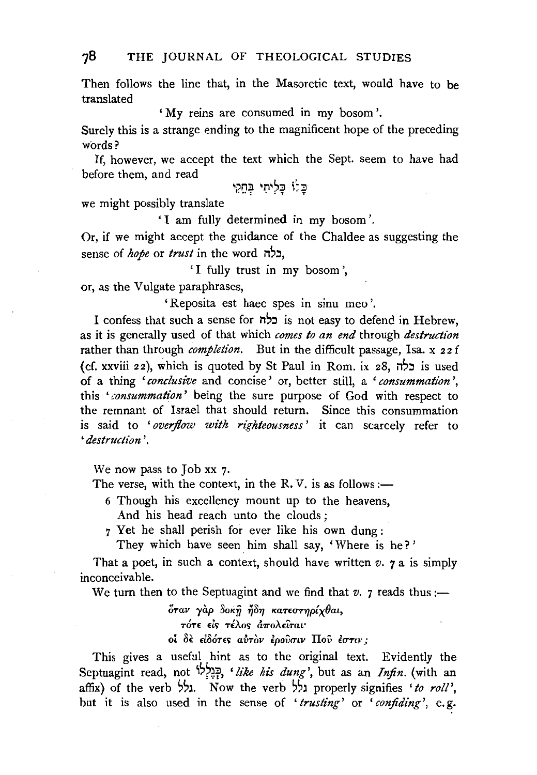Then follows the line that, in the Masoretic text, would have to be translated

'My reins are consumed in my bosom'.

Surely this is a strange ending to the magnificent hope of the preceding words?

If, however, we accept the text which the Sept. seem to have had before them, and read

כָּלוֹ כַּלְיתִי בְּחֵקִי

we might possibly translate

'I am fully determined in my bosom'.

Or, if we might accept the guidance of the Chaldee as suggesting the sense of *hope* or *trust* in the word nC,:J,

'I fully trust in my bosom',

or, as the Vulgate paraphrases,

'Reposita est haec spes in sinu meo '.

I confess that such a sense for  $\vec{r}$  is not easy to defend in Hebrew, as it is generally used of that which *comes to an end* through *destruction*  rather than through *completion*. But in the difficult passage, Isa. x 22 f (cf. xxviii 22), which is quoted by St Paul in Rom. ix 28,  $\frac{1}{2}$  is used of a thing *'conclusive* and concise ' or, better still, a ' *consummation* ', this *'consummation'* being the sure purpose of God with respect to the remnant of Israel that should return. Since this consummation is said to ' *overflow with righteousness* ' it can scarcely refer to *'destruction'.* 

We now pass to Job xx 7.

The verse, with the context, in the R.V. is as follows :-

- 6 Though his excellency mount up to the heavens, And his head reach unto the clouds ;
- 7 Yet he shall perish for ever like his own dung :

They which have seen him shall say, 'Where is he?'

That a poet, in such a context, should have written  $v$ .  $\gamma$  a is simply inconceivable.

We turn then to the Septuagint and we find that  $v$ .  $\gamma$  reads thus:-

 $\delta$ ταν γαρ δοκή ήδη κατεστηρίχθαι, *TOT£* d., TiAo<;; *a7rOA£LTat•*   $o$ *i* δε είδότες αύτον έρουσιν Που έστιν;

This gives a useful hint as to the original text. Evidently the Septuagint read, not i~?~f, *'like his dung',* but as an *Infin.* (with an affix) of the verb גלל. Now the verb גלל, properly signifies 'to roll', but it is also used in the sense of ' *trusting'* or ' *confiding',* e. g.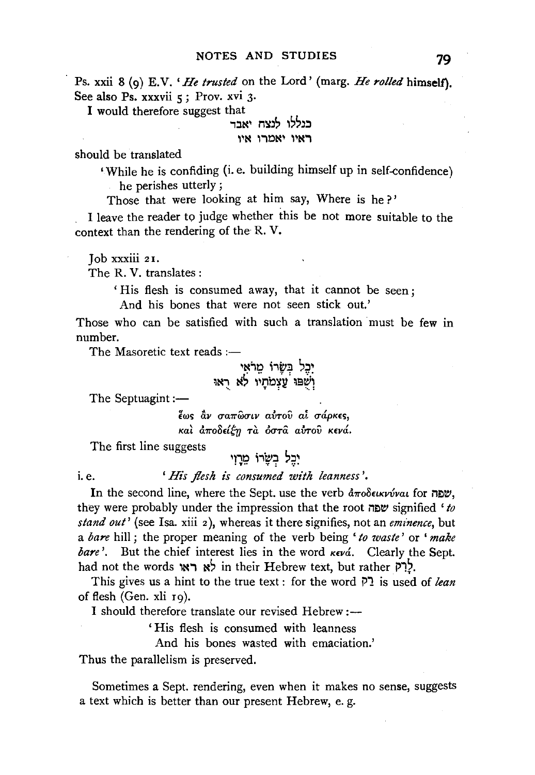Ps. xxii 8 (9) E. V. *'He trusted* on the Lord' (marg. *He rolled* himself). See also Ps. xxxvii 5; Prov. xvi 3.

I would therefore suggest that

# ראיו יאמרו איו

should be translated

'While he is confiding (i.e. building himself up in self-confidence) he perishes utterly ;

Those that were looking at him say, Where is he?'

I leave the reader to judge whether this be not more suitable to the context than the rendering of the R. V.

Job xxxiii 2 I.

The R. V. translates :

'His flesh is consumed away, that it cannot be seen;

And his bones that were not seen stick out.'

Those who can be satisfied with such a translation must be few in number.

The Masoretic text reads  $:$   $-$ 

יִבְּל בִּשָּׂרוֹ מֵרֹאִי<sub>.</sub> ;N., ~s ,~nbil! = ;e~; "•. **T** : • •• :

The Septuagint :-

 $\frac{2}{3}$  *έως*  $\frac{2}{3}$ *ν σαπ*ώσιν αύτου αί σάρκες, *Kal αποδείξη τα όστα αυτού κενά.* 

The first line suggests

יִבְל בְשָׂרוֹ מֵרָוִי

i.e. *'His flesh is consumed with leanness'*.

In the second line, where the Sept. use the verb  $\frac{d}{dx}$  $\delta$  $\epsilon$  $\epsilon$  $\kappa\nu\hat{\nu}$ , they were probably under the impression that the root שפה signified 'to *stand out'* (see Isa. xiii 2 ), whereas it there signifies, not an *eminence,* but a *bare* hill ; the proper meaning of the verb being ' *to waste'* or ' *make bare'.* But the chief interest lies in the word  $\kappa \epsilon \nu \hat{\alpha}$ . Clearly the Sept. had not the words  $x \in \mathbb{R}$  in their Hebrew text, but rather  $\mathbb{R}$ ?.

This gives us a hint to the true text : for the word  $\overline{P}$  is used of *lean* of flesh (Gen. xli 19).

I should therefore translate our revised Hebrew:—

' His flesh is consumed with leanness

And his bones wasted with emaciation.'

Thus the parallelism is preserved.

Sometimes a Sept. rendering, even when it makes no sense, suggests a text which is better than our present Hebrew, e. g.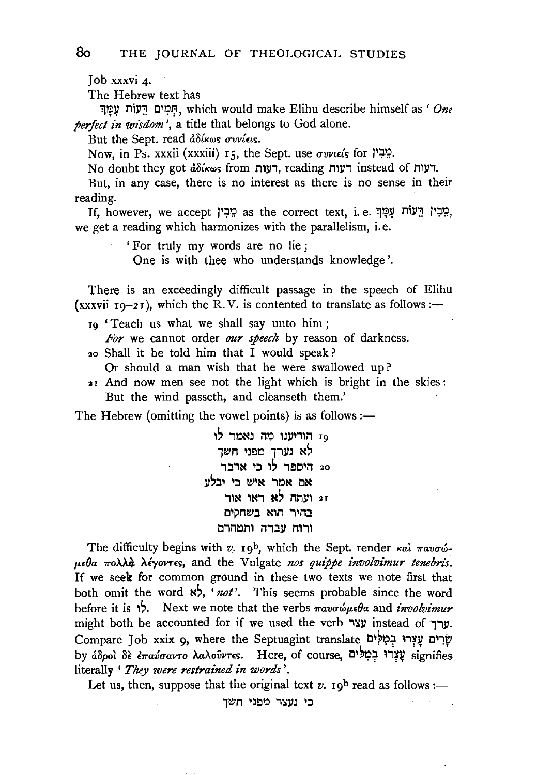Job xxxvi 4·

The Hebrew text has

':)If~ MIY';! t:l11?T;1, which would make Elihu describe himself as' *One perfect in wisdom'*, a title that belongs to God alone.

But the Sept. read *adikws* ovviews.

Now, in Ps. xxxii (xxxiii) r5, the Sept. use *συνιείs* for  $\mathbb{Z}^2$ .

No doubt they got do from רעות, reading רעות, instead of M

But, in any case, there is no interest as there is no sense in their reading.

If, however, we accept  $\varphi$ : הֵבְין הֲעוֹת עָמֲךָ: as the correct text, i.e. יְמֵבְין הֲעוֹת עָמַךְ we get a reading which harmonizes with the parallelism, i.e.

'For truly my words are no lie;

One is with thee who understands knowledge'.

There is an exceedingly difficult passage in the speech of Elihu (xxxvii  $r_9-2r$ ), which the R.V. is contented to translate as follows:—

19 'Teach us what we shall say unto him;

*For* we cannot order *our speech* by reason of darkness.

- 20 Shall it be told him that I would speak?
	- Or should a man wish that he were swallowed up?
- 21 And now men see not the light which is bright in the skies : But the wind passeth, and cleanseth them.'

The Hebrew (omitting the vowel points) is as follows: $\leftarrow$ 

'~ "10~) *no* l):ll'1li1 <sup>r</sup> 9 לא נערך מפני חשך 20 היספר לו כי אדבר אם אמר איש כי יבלע 21 ועתה לא ראו אור בהיר הוא בשחקים ורוח עברה ותמהרם

The difficulty begins with  $v$ . 19<sup>b</sup>, which the Sept. render  $\kappa a \hat{i} \pi a v \sigma \hat{\omega}$ *p.£0a 1ro.UO. >..iyovns,* and the Vulgate *nos quippe involvimur tenebris.*  If we seek for common ground in these two texts we note first that both omit the word  $\aleph$ , 'not'. This seems probable since the word before it is 1. Next we note that the verbs παυσώμεθα and *involvimur* might both be accounted for if we used the verb  $yx$  instead of  $y$ . Compare Job xxix 9, where the Septuagint translate עַצְרוּ בְמָלִים עַצִרוּ בִ by άδροι δε επαύσαντο λαλούντες. Here, of course, עַצְרוּ בִמְלִים signifies literally ' *They were restrained in words'.* 

Let us, then, suppose that the original text  $v$ .  $\mathsf{r}\mathsf{g}^{\mathsf{b}}$  read as follows:-

כי נעצר מפני חשך